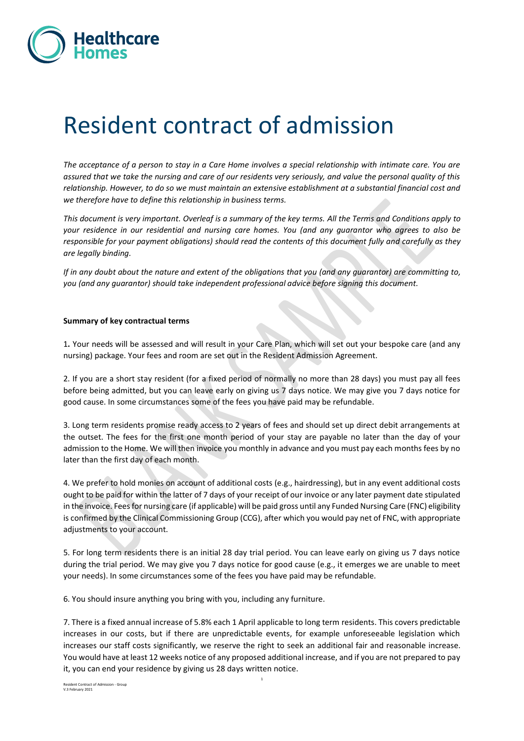

# Resident contract of admission

*The acceptance of a person to stay in a Care Home involves a special relationship with intimate care. You are assured that we take the nursing and care of our residents very seriously, and value the personal quality of this relationship. However, to do so we must maintain an extensive establishment at a substantial financial cost and we therefore have to define this relationship in business terms.* 

*This document is very important. Overleaf is a summary of the key terms. All the Terms and Conditions apply to your residence in our residential and nursing care homes. You (and any guarantor who agrees to also be responsible for your payment obligations) should read the contents of this document fully and carefully as they are legally binding.*

*If in any doubt about the nature and extent of the obligations that you (and any guarantor) are committing to, you (and any guarantor) should take independent professional advice before signing this document.*

#### **Summary of key contractual terms**

1**.** Your needs will be assessed and will result in your Care Plan, which will set out your bespoke care (and any nursing) package. Your fees and room are set out in the Resident Admission Agreement.

2. If you are a short stay resident (for a fixed period of normally no more than 28 days) you must pay all fees before being admitted, but you can leave early on giving us 7 days notice. We may give you 7 days notice for good cause. In some circumstances some of the fees you have paid may be refundable.

3. Long term residents promise ready access to 2 years of fees and should set up direct debit arrangements at the outset. The fees for the first one month period of your stay are payable no later than the day of your admission to the Home. We will then invoice you monthly in advance and you must pay each months fees by no later than the first day of each month.

4. We prefer to hold monies on account of additional costs (e.g., hairdressing), but in any event additional costs ought to be paid for within the latter of 7 days of your receipt of our invoice or any later payment date stipulated in the invoice. Fees for nursing care (if applicable) will be paid gross until any Funded Nursing Care (FNC) eligibility is confirmed by the Clinical Commissioning Group (CCG), after which you would pay net of FNC, with appropriate adjustments to your account.

5. For long term residents there is an initial 28 day trial period. You can leave early on giving us 7 days notice during the trial period. We may give you 7 days notice for good cause (e.g., it emerges we are unable to meet your needs). In some circumstances some of the fees you have paid may be refundable.

6. You should insure anything you bring with you, including any furniture.

7. There is a fixed annual increase of 5.8% each 1 April applicable to long term residents. This covers predictable increases in our costs, but if there are unpredictable events, for example unforeseeable legislation which increases our staff costs significantly, we reserve the right to seek an additional fair and reasonable increase. You would have at least 12 weeks notice of any proposed additional increase, and if you are not prepared to pay it, you can end your residence by giving us 28 days written notice.

Resident Contract of Admission - Group V.3 February 2021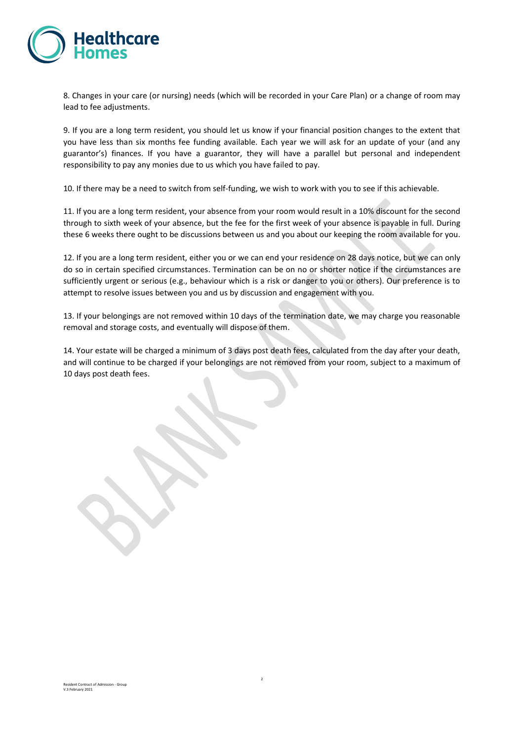

8. Changes in your care (or nursing) needs (which will be recorded in your Care Plan) or a change of room may lead to fee adjustments.

9. If you are a long term resident, you should let us know if your financial position changes to the extent that you have less than six months fee funding available. Each year we will ask for an update of your (and any guarantor's) finances. If you have a guarantor, they will have a parallel but personal and independent responsibility to pay any monies due to us which you have failed to pay.

10. If there may be a need to switch from self-funding, we wish to work with you to see if this achievable.

11. If you are a long term resident, your absence from your room would result in a 10% discount for the second through to sixth week of your absence, but the fee for the first week of your absence is payable in full. During these 6 weeks there ought to be discussions between us and you about our keeping the room available for you.

12. If you are a long term resident, either you or we can end your residence on 28 days notice, but we can only do so in certain specified circumstances. Termination can be on no or shorter notice if the circumstances are sufficiently urgent or serious (e.g., behaviour which is a risk or danger to you or others). Our preference is to attempt to resolve issues between you and us by discussion and engagement with you.

13. If your belongings are not removed within 10 days of the termination date, we may charge you reasonable removal and storage costs, and eventually will dispose of them.

14. Your estate will be charged a minimum of 3 days post death fees, calculated from the day after your death, and will continue to be charged if your belongings are not removed from your room, subject to a maximum of 10 days post death fees.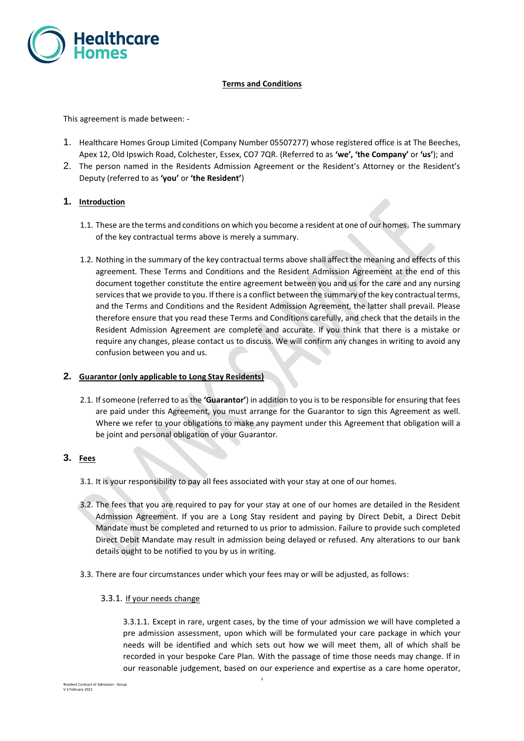

# **Terms and Conditions**

This agreement is made between: -

- 1. Healthcare Homes Group Limited (Company Number 05507277) whose registered office is at The Beeches, Apex 12, Old Ipswich Road, Colchester, Essex, CO7 7QR. (Referred to as **'we', 'the Company'** or **'us'**); and
- 2. The person named in the Residents Admission Agreement or the Resident's Attorney or the Resident's Deputy (referred to as **'you'** or **'the Resident'**)

## **1. Introduction**

- 1.1. These are the terms and conditions on which you become a resident at one of our homes. The summary of the key contractual terms above is merely a summary.
- 1.2. Nothing in the summary of the key contractual terms above shall affect the meaning and effects of this agreement. These Terms and Conditions and the Resident Admission Agreement at the end of this document together constitute the entire agreement between you and us for the care and any nursing services that we provide to you. If there is a conflict between the summary of the key contractual terms, and the Terms and Conditions and the Resident Admission Agreement, the latter shall prevail. Please therefore ensure that you read these Terms and Conditions carefully, and check that the details in the Resident Admission Agreement are complete and accurate. If you think that there is a mistake or require any changes, please contact us to discuss. We will confirm any changes in writing to avoid any confusion between you and us.

## **2. Guarantor (only applicable to Long Stay Residents)**

2.1. If someone (referred to as the **'Guarantor'**) in addition to you is to be responsible for ensuring that fees are paid under this Agreement, you must arrange for the Guarantor to sign this Agreement as well. Where we refer to your obligations to make any payment under this Agreement that obligation will a be joint and personal obligation of your Guarantor.

## **3. Fees**

- 3.1. It is your responsibility to pay all fees associated with your stay at one of our homes.
- 3.2. The fees that you are required to pay for your stay at one of our homes are detailed in the Resident Admission Agreement. If you are a Long Stay resident and paying by Direct Debit, a Direct Debit Mandate must be completed and returned to us prior to admission. Failure to provide such completed Direct Debit Mandate may result in admission being delayed or refused. Any alterations to our bank details ought to be notified to you by us in writing.
- 3.3. There are four circumstances under which your fees may or will be adjusted, as follows:
	- 3.3.1. If your needs change

3.3.1.1. Except in rare, urgent cases, by the time of your admission we will have completed a pre admission assessment, upon which will be formulated your care package in which your needs will be identified and which sets out how we will meet them, all of which shall be recorded in your bespoke Care Plan. With the passage of time those needs may change. If in our reasonable judgement, based on our experience and expertise as a care home operator,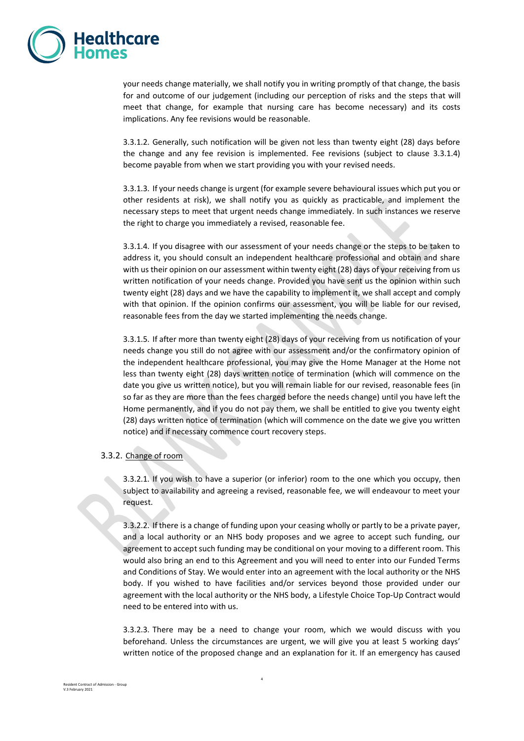

your needs change materially, we shall notify you in writing promptly of that change, the basis for and outcome of our judgement (including our perception of risks and the steps that will meet that change, for example that nursing care has become necessary) and its costs implications. Any fee revisions would be reasonable.

3.3.1.2. Generally, such notification will be given not less than twenty eight (28) days before the change and any fee revision is implemented. Fee revisions (subject to clause 3.3.1.4) become payable from when we start providing you with your revised needs.

3.3.1.3. If your needs change is urgent (for example severe behavioural issues which put you or other residents at risk), we shall notify you as quickly as practicable, and implement the necessary steps to meet that urgent needs change immediately. In such instances we reserve the right to charge you immediately a revised, reasonable fee.

3.3.1.4. If you disagree with our assessment of your needs change or the steps to be taken to address it, you should consult an independent healthcare professional and obtain and share with us their opinion on our assessment within twenty eight (28) days of your receiving from us written notification of your needs change. Provided you have sent us the opinion within such twenty eight (28) days and we have the capability to implement it, we shall accept and comply with that opinion. If the opinion confirms our assessment, you will be liable for our revised, reasonable fees from the day we started implementing the needs change.

3.3.1.5. If after more than twenty eight (28) days of your receiving from us notification of your needs change you still do not agree with our assessment and/or the confirmatory opinion of the independent healthcare professional, you may give the Home Manager at the Home not less than twenty eight (28) days written notice of termination (which will commence on the date you give us written notice), but you will remain liable for our revised, reasonable fees (in so far as they are more than the fees charged before the needs change) until you have left the Home permanently, and if you do not pay them, we shall be entitled to give you twenty eight (28) days written notice of termination (which will commence on the date we give you written notice) and if necessary commence court recovery steps.

#### 3.3.2. Change of room

3.3.2.1. If you wish to have a superior (or inferior) room to the one which you occupy, then subject to availability and agreeing a revised, reasonable fee, we will endeavour to meet your request.

3.3.2.2. If there is a change of funding upon your ceasing wholly or partly to be a private payer, and a local authority or an NHS body proposes and we agree to accept such funding, our agreement to accept such funding may be conditional on your moving to a different room. This would also bring an end to this Agreement and you will need to enter into our Funded Terms and Conditions of Stay. We would enter into an agreement with the local authority or the NHS body. If you wished to have facilities and/or services beyond those provided under our agreement with the local authority or the NHS body, a Lifestyle Choice Top-Up Contract would need to be entered into with us.

3.3.2.3. There may be a need to change your room, which we would discuss with you beforehand. Unless the circumstances are urgent, we will give you at least 5 working days' written notice of the proposed change and an explanation for it. If an emergency has caused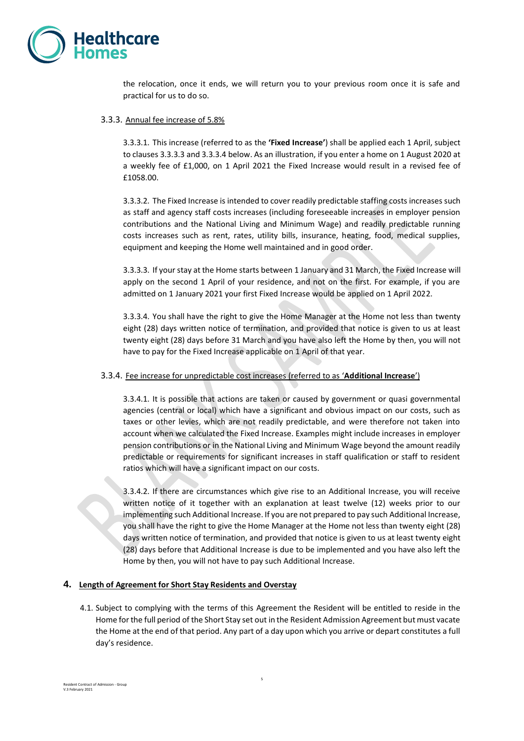

the relocation, once it ends, we will return you to your previous room once it is safe and practical for us to do so.

#### 3.3.3. Annual fee increase of 5.8%

3.3.3.1. This increase (referred to as the **'Fixed Increase'**) shall be applied each 1 April, subject to clauses 3.3.3.3 and 3.3.3.4 below. As an illustration, if you enter a home on 1 August 2020 at a weekly fee of £1,000, on 1 April 2021 the Fixed Increase would result in a revised fee of £1058.00.

3.3.3.2. The Fixed Increase is intended to cover readily predictable staffing costs increases such as staff and agency staff costs increases (including foreseeable increases in employer pension contributions and the National Living and Minimum Wage) and readily predictable running costs increases such as rent, rates, utility bills, insurance, heating, food, medical supplies, equipment and keeping the Home well maintained and in good order.

3.3.3.3. If your stay at the Home starts between 1 January and 31 March, the Fixed Increase will apply on the second 1 April of your residence, and not on the first. For example, if you are admitted on 1 January 2021 your first Fixed Increase would be applied on 1 April 2022.

3.3.3.4. You shall have the right to give the Home Manager at the Home not less than twenty eight (28) days written notice of termination, and provided that notice is given to us at least twenty eight (28) days before 31 March and you have also left the Home by then, you will not have to pay for the Fixed Increase applicable on 1 April of that year.

## 3.3.4. Fee increase for unpredictable cost increases (referred to as '**Additional Increase**')

3.3.4.1. It is possible that actions are taken or caused by government or quasi governmental agencies (central or local) which have a significant and obvious impact on our costs, such as taxes or other levies, which are not readily predictable, and were therefore not taken into account when we calculated the Fixed Increase. Examples might include increases in employer pension contributions or in the National Living and Minimum Wage beyond the amount readily predictable or requirements for significant increases in staff qualification or staff to resident ratios which will have a significant impact on our costs.

3.3.4.2. If there are circumstances which give rise to an Additional Increase, you will receive written notice of it together with an explanation at least twelve (12) weeks prior to our implementing such Additional Increase. If you are not prepared to pay such Additional Increase, you shall have the right to give the Home Manager at the Home not less than twenty eight (28) days written notice of termination, and provided that notice is given to us at least twenty eight (28) days before that Additional Increase is due to be implemented and you have also left the Home by then, you will not have to pay such Additional Increase.

## **4. Length of Agreement for Short Stay Residents and Overstay**

4.1. Subject to complying with the terms of this Agreement the Resident will be entitled to reside in the Home for the full period of the Short Stay set out in the Resident Admission Agreement but must vacate the Home at the end of that period. Any part of a day upon which you arrive or depart constitutes a full day's residence.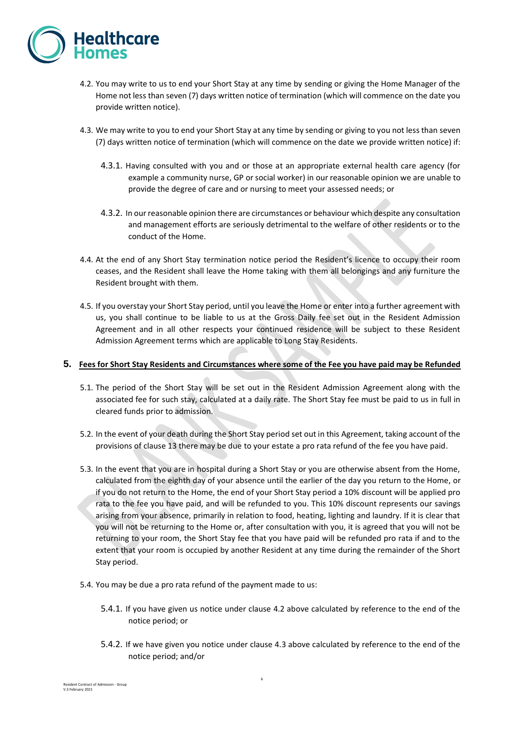

- 4.2. You may write to us to end your Short Stay at any time by sending or giving the Home Manager of the Home not less than seven (7) days written notice of termination (which will commence on the date you provide written notice).
- 4.3. We may write to you to end your Short Stay at any time by sending or giving to you not less than seven (7) days written notice of termination (which will commence on the date we provide written notice) if:
	- 4.3.1. Having consulted with you and or those at an appropriate external health care agency (for example a community nurse, GP or social worker) in our reasonable opinion we are unable to provide the degree of care and or nursing to meet your assessed needs; or
	- 4.3.2. In our reasonable opinion there are circumstances or behaviour which despite any consultation and management efforts are seriously detrimental to the welfare of other residents or to the conduct of the Home.
- 4.4. At the end of any Short Stay termination notice period the Resident's licence to occupy their room ceases, and the Resident shall leave the Home taking with them all belongings and any furniture the Resident brought with them.
- 4.5. If you overstay your Short Stay period, until you leave the Home or enter into a further agreement with us, you shall continue to be liable to us at the Gross Daily fee set out in the Resident Admission Agreement and in all other respects your continued residence will be subject to these Resident Admission Agreement terms which are applicable to Long Stay Residents.

## **5. Fees for Short Stay Residents and Circumstances where some of the Fee you have paid may be Refunded**

- 5.1. The period of the Short Stay will be set out in the Resident Admission Agreement along with the associated fee for such stay, calculated at a daily rate. The Short Stay fee must be paid to us in full in cleared funds prior to admission.
- 5.2. In the event of your death during the Short Stay period set out in this Agreement, taking account of the provisions of clause [13](#page-10-0) there may be due to your estate a pro rata refund of the fee you have paid.
- 5.3. In the event that you are in hospital during a Short Stay or you are otherwise absent from the Home, calculated from the eighth day of your absence until the earlier of the day you return to the Home, or if you do not return to the Home, the end of your Short Stay period a 10% discount will be applied pro rata to the fee you have paid, and will be refunded to you. This 10% discount represents our savings arising from your absence, primarily in relation to food, heating, lighting and laundry. If it is clear that you will not be returning to the Home or, after consultation with you, it is agreed that you will not be returning to your room, the Short Stay fee that you have paid will be refunded pro rata if and to the extent that your room is occupied by another Resident at any time during the remainder of the Short Stay period.
- 5.4. You may be due a pro rata refund of the payment made to us:
	- 5.4.1. If you have given us notice under clause 4.2 above calculated by reference to the end of the notice period; or
	- 5.4.2. If we have given you notice under clause 4.3 above calculated by reference to the end of the notice period; and/or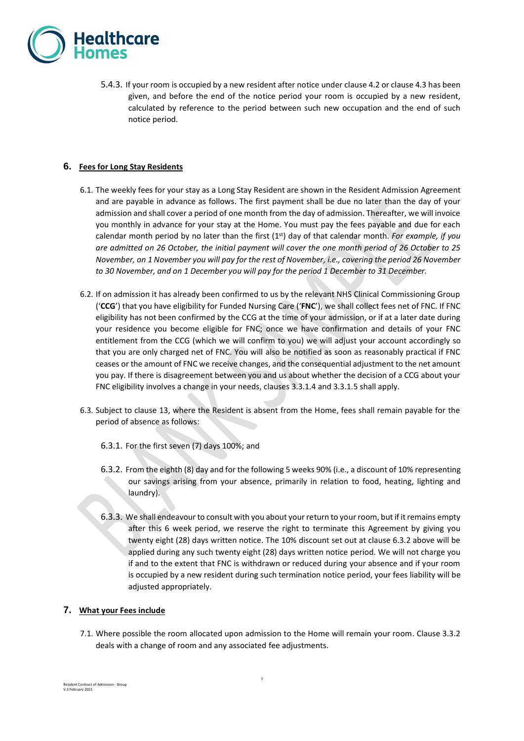

5.4.3. If your room is occupied by a new resident after notice under clause 4.2 or clause 4.3 has been given, and before the end of the notice period your room is occupied by a new resident, calculated by reference to the period between such new occupation and the end of such notice period.

## **6. Fees for Long Stay Residents**

- 6.1. The weekly fees for your stay as a Long Stay Resident are shown in the Resident Admission Agreement and are payable in advance as follows. The first payment shall be due no later than the day of your admission and shall cover a period of one month from the day of admission. Thereafter, we will invoice you monthly in advance for your stay at the Home. You must pay the fees payable and due for each calendar month period by no later than the first (1st) day of that calendar month. *For example, if you are admitted on 26 October, the initial payment will cover the one month period of 26 October to 25 November, on 1 November you will pay for the rest of November, i.e., covering the period 26 November to 30 November, and on 1 December you will pay for the period 1 December to 31 December.*
- 6.2. If on admission it has already been confirmed to us by the relevant NHS Clinical Commissioning Group ('**CCG**') that you have eligibility for Funded Nursing Care ('**FNC**'), we shall collect fees net of FNC. If FNC eligibility has not been confirmed by the CCG at the time of your admission, or if at a later date during your residence you become eligible for FNC; once we have confirmation and details of your FNC entitlement from the CCG (which we will confirm to you) we will adjust your account accordingly so that you are only charged net of FNC. You will also be notified as soon as reasonably practical if FNC ceases or the amount of FNC we receive changes, and the consequential adjustment to the net amount you pay. If there is disagreement between you and us about whether the decision of a CCG about your FNC eligibility involves a change in your needs, clauses 3.3.1.4 and 3.3.1.5 shall apply.
- 6.3. Subject to clause [13,](#page-10-0) where the Resident is absent from the Home, fees shall remain payable for the period of absence as follows:
	- 6.3.1. For the first seven (7) days 100%; and
	- 6.3.2. From the eighth (8) day and for the following 5 weeks 90% (i.e., a discount of 10% representing our savings arising from your absence, primarily in relation to food, heating, lighting and laundry).
	- 6.3.3. We shall endeavour to consult with you about your return to your room, but if it remains empty after this 6 week period, we reserve the right to terminate this Agreement by giving you twenty eight (28) days written notice. The 10% discount set out at clause 6.3.2 above will be applied during any such twenty eight (28) days written notice period. We will not charge you if and to the extent that FNC is withdrawn or reduced during your absence and if your room is occupied by a new resident during such termination notice period, your fees liability will be adjusted appropriately.

## **7. What your Fees include**

<span id="page-6-0"></span>7.1. Where possible the room allocated upon admission to the Home will remain your room. Clause 3.3.2 deals with a change of room and any associated fee adjustments.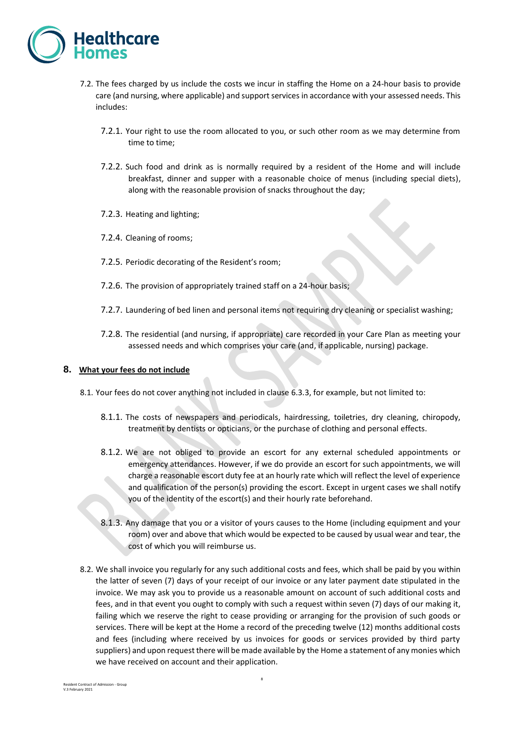

- 7.2. The fees charged by us include the costs we incur in staffing the Home on a 24-hour basis to provide care (and nursing, where applicable) and support services in accordance with your assessed needs. This includes:
	- 7.2.1. Your right to use the room allocated to you, or such other room as we may determine from time to time;
	- 7.2.2. Such food and drink as is normally required by a resident of the Home and will include breakfast, dinner and supper with a reasonable choice of menus (including special diets), along with the reasonable provision of snacks throughout the day;
	- 7.2.3. Heating and lighting;
	- 7.2.4. Cleaning of rooms;
	- 7.2.5. Periodic decorating of the Resident's room;
	- 7.2.6. The provision of appropriately trained staff on a 24-hour basis;
	- 7.2.7. Laundering of bed linen and personal items not requiring dry cleaning or specialist washing;
	- 7.2.8. The residential (and nursing, if appropriate) care recorded in your Care Plan as meeting your assessed needs and which comprises your care (and, if applicable, nursing) package.

#### **8. What your fees do not include**

- 8.1. Your fees do not cover anything not included in clause [6.3.3,](#page-6-0) for example, but not limited to:
	- 8.1.1. The costs of newspapers and periodicals, hairdressing, toiletries, dry cleaning, chiropody, treatment by dentists or opticians, or the purchase of clothing and personal effects.
	- 8.1.2. We are not obliged to provide an escort for any external scheduled appointments or emergency attendances. However, if we do provide an escort for such appointments, we will charge a reasonable escort duty fee at an hourly rate which will reflect the level of experience and qualification of the person(s) providing the escort. Except in urgent cases we shall notify you of the identity of the escort(s) and their hourly rate beforehand.
	- 8.1.3. Any damage that you or a visitor of yours causes to the Home (including equipment and your room) over and above that which would be expected to be caused by usual wear and tear, the cost of which you will reimburse us.
- 8.2. We shall invoice you regularly for any such additional costs and fees, which shall be paid by you within the latter of seven (7) days of your receipt of our invoice or any later payment date stipulated in the invoice. We may ask you to provide us a reasonable amount on account of such additional costs and fees, and in that event you ought to comply with such a request within seven (7) days of our making it, failing which we reserve the right to cease providing or arranging for the provision of such goods or services. There will be kept at the Home a record of the preceding twelve (12) months additional costs and fees (including where received by us invoices for goods or services provided by third party suppliers) and upon request there will be made available by the Home a statement of any monies which we have received on account and their application.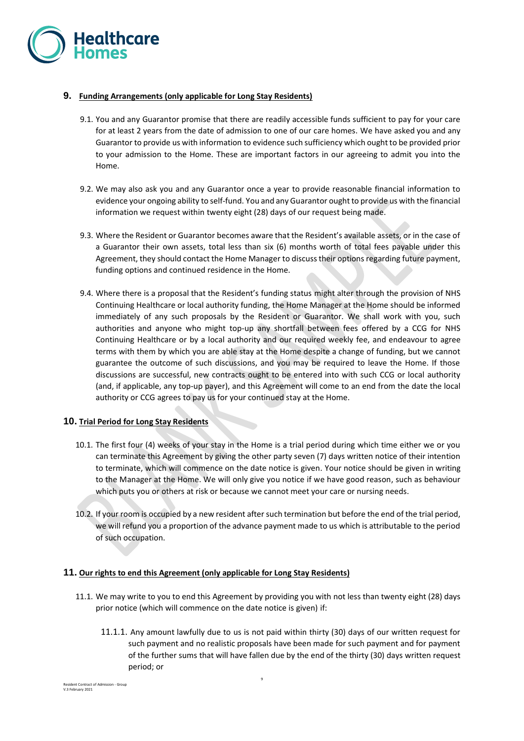

# **9. Funding Arrangements (only applicable for Long Stay Residents)**

- 9.1. You and any Guarantor promise that there are readily accessible funds sufficient to pay for your care for at least 2 years from the date of admission to one of our care homes. We have asked you and any Guarantor to provide us with information to evidence such sufficiency which ought to be provided prior to your admission to the Home. These are important factors in our agreeing to admit you into the Home.
- 9.2. We may also ask you and any Guarantor once a year to provide reasonable financial information to evidence your ongoing ability to self-fund. You and any Guarantor ought to provide us with the financial information we request within twenty eight (28) days of our request being made.
- 9.3. Where the Resident or Guarantor becomes aware that the Resident's available assets, or in the case of a Guarantor their own assets, total less than six (6) months worth of total fees payable under this Agreement, they should contact the Home Manager to discuss their options regarding future payment, funding options and continued residence in the Home.
- 9.4. Where there is a proposal that the Resident's funding status might alter through the provision of NHS Continuing Healthcare or local authority funding, the Home Manager at the Home should be informed immediately of any such proposals by the Resident or Guarantor. We shall work with you, such authorities and anyone who might top-up any shortfall between fees offered by a CCG for NHS Continuing Healthcare or by a local authority and our required weekly fee, and endeavour to agree terms with them by which you are able stay at the Home despite a change of funding, but we cannot guarantee the outcome of such discussions, and you may be required to leave the Home. If those discussions are successful, new contracts ought to be entered into with such CCG or local authority (and, if applicable, any top-up payer), and this Agreement will come to an end from the date the local authority or CCG agrees to pay us for your continued stay at the Home.

# **10. Trial Period for Long Stay Residents**

- 10.1. The first four (4) weeks of your stay in the Home is a trial period during which time either we or you can terminate this Agreement by giving the other party seven (7) days written notice of their intention to terminate, which will commence on the date notice is given. Your notice should be given in writing to the Manager at the Home. We will only give you notice if we have good reason, such as behaviour which puts you or others at risk or because we cannot meet your care or nursing needs.
- 10.2. If your room is occupied by a new resident after such termination but before the end of the trial period, we will refund you a proportion of the advance payment made to us which is attributable to the period of such occupation.

## **11. Our rights to end this Agreement (only applicable for Long Stay Residents)**

- 11.1. We may write to you to end this Agreement by providing you with not less than twenty eight (28) days prior notice (which will commence on the date notice is given) if:
	- 11.1.1. Any amount lawfully due to us is not paid within thirty (30) days of our written request for such payment and no realistic proposals have been made for such payment and for payment of the further sums that will have fallen due by the end of the thirty (30) days written request period; or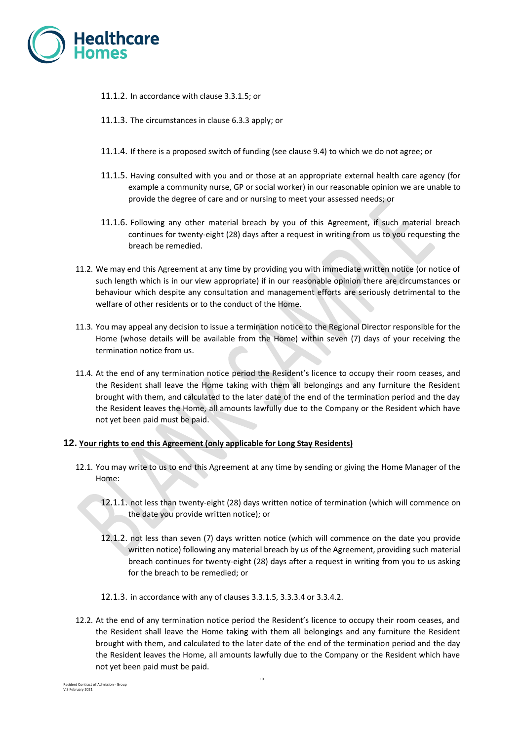

- 11.1.2. In accordance with clause 3.3.1.5; or
- 11.1.3. The circumstances in clause 6.3.3 apply; or
- 11.1.4. If there is a proposed switch of funding (see clause 9.4) to which we do not agree; or
- 11.1.5. Having consulted with you and or those at an appropriate external health care agency (for example a community nurse, GP or social worker) in our reasonable opinion we are unable to provide the degree of care and or nursing to meet your assessed needs; or
- 11.1.6. Following any other material breach by you of this Agreement, if such material breach continues for twenty-eight (28) days after a request in writing from us to you requesting the breach be remedied.
- 11.2. We may end this Agreement at any time by providing you with immediate written notice (or notice of such length which is in our view appropriate) if in our reasonable opinion there are circumstances or behaviour which despite any consultation and management efforts are seriously detrimental to the welfare of other residents or to the conduct of the Home.
- 11.3. You may appeal any decision to issue a termination notice to the Regional Director responsible for the Home (whose details will be available from the Home) within seven (7) days of your receiving the termination notice from us.
- 11.4. At the end of any termination notice period the Resident's licence to occupy their room ceases, and the Resident shall leave the Home taking with them all belongings and any furniture the Resident brought with them, and calculated to the later date of the end of the termination period and the day the Resident leaves the Home, all amounts lawfully due to the Company or the Resident which have not yet been paid must be paid.

## **12. Your rights to end this Agreement (only applicable for Long Stay Residents)**

- 12.1. You may write to us to end this Agreement at any time by sending or giving the Home Manager of the Home:
	- 12.1.1. not less than twenty-eight (28) days written notice of termination (which will commence on the date you provide written notice); or
	- 12.1.2. not less than seven (7) days written notice (which will commence on the date you provide written notice) following any material breach by us of the Agreement, providing such material breach continues for twenty-eight (28) days after a request in writing from you to us asking for the breach to be remedied; or
	- 12.1.3. in accordance with any of clauses 3.3.1.5, 3.3.3.4 or 3.3.4.2.
- 12.2. At the end of any termination notice period the Resident's licence to occupy their room ceases, and the Resident shall leave the Home taking with them all belongings and any furniture the Resident brought with them, and calculated to the later date of the end of the termination period and the day the Resident leaves the Home, all amounts lawfully due to the Company or the Resident which have not yet been paid must be paid.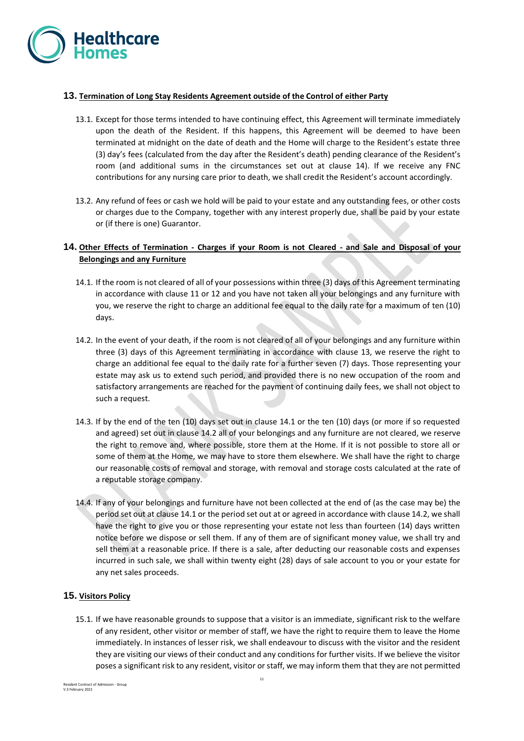

# **13. Termination of Long Stay Residents Agreement outside of the Control of either Party**

- <span id="page-10-0"></span>13.1. Except for those terms intended to have continuing effect, this Agreement will terminate immediately upon the death of the Resident. If this happens, this Agreement will be deemed to have been terminated at midnight on the date of death and the Home will charge to the Resident's estate three (3) day's fees (calculated from the day after the Resident's death) pending clearance of the Resident's room (and additional sums in the circumstances set out at clause 14). If we receive any FNC contributions for any nursing care prior to death, we shall credit the Resident's account accordingly.
- 13.2. Any refund of fees or cash we hold will be paid to your estate and any outstanding fees, or other costs or charges due to the Company, together with any interest properly due, shall be paid by your estate or (if there is one) Guarantor.

# **14. Other Effects of Termination - Charges if your Room is not Cleared - and Sale and Disposal of your Belongings and any Furniture**

- 14.1. If the room is not cleared of all of your possessions within three (3) days of this Agreement terminating in accordance with clause 11 or 12 and you have not taken all your belongings and any furniture with you, we reserve the right to charge an additional fee equal to the daily rate for a maximum of ten (10) days.
- 14.2. In the event of your death, if the room is not cleared of all of your belongings and any furniture within three (3) days of this Agreement terminating in accordance with clause [13,](#page-10-0) we reserve the right to charge an additional fee equal to the daily rate for a further seven (7) days. Those representing your estate may ask us to extend such period, and provided there is no new occupation of the room and satisfactory arrangements are reached for the payment of continuing daily fees, we shall not object to such a request.
- 14.3. If by the end of the ten (10) days set out in clause 14.1 or the ten (10) days (or more if so requested and agreed) set out in clause 14.2 all of your belongings and any furniture are not cleared, we reserve the right to remove and, where possible, store them at the Home. If it is not possible to store all or some of them at the Home, we may have to store them elsewhere. We shall have the right to charge our reasonable costs of removal and storage, with removal and storage costs calculated at the rate of a reputable storage company.
- 14.4. If any of your belongings and furniture have not been collected at the end of (as the case may be) the period set out at clause 14.1 or the period set out at or agreed in accordance with clause 14.2, we shall have the right to give you or those representing your estate not less than fourteen (14) days written notice before we dispose or sell them. If any of them are of significant money value, we shall try and sell them at a reasonable price. If there is a sale, after deducting our reasonable costs and expenses incurred in such sale, we shall within twenty eight (28) days of sale account to you or your estate for any net sales proceeds.

## **15. Visitors Policy**

15.1. If we have reasonable grounds to suppose that a visitor is an immediate, significant risk to the welfare of any resident, other visitor or member of staff, we have the right to require them to leave the Home immediately. In instances of lesser risk, we shall endeavour to discuss with the visitor and the resident they are visiting our views of their conduct and any conditions for further visits. If we believe the visitor poses a significant risk to any resident, visitor or staff, we may inform them that they are not permitted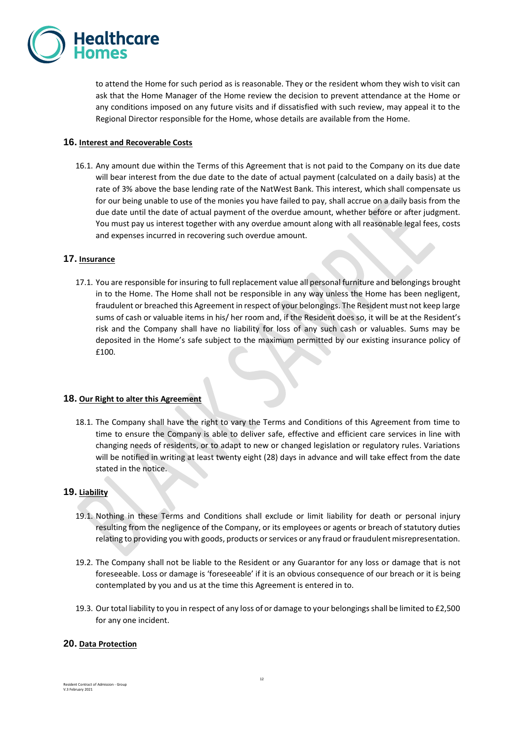

to attend the Home for such period as is reasonable. They or the resident whom they wish to visit can ask that the Home Manager of the Home review the decision to prevent attendance at the Home or any conditions imposed on any future visits and if dissatisfied with such review, may appeal it to the Regional Director responsible for the Home, whose details are available from the Home.

## **16. Interest and Recoverable Costs**

16.1. Any amount due within the Terms of this Agreement that is not paid to the Company on its due date will bear interest from the due date to the date of actual payment (calculated on a daily basis) at the rate of 3% above the base lending rate of the NatWest Bank. This interest, which shall compensate us for our being unable to use of the monies you have failed to pay, shall accrue on a daily basis from the due date until the date of actual payment of the overdue amount, whether before or after judgment. You must pay us interest together with any overdue amount along with all reasonable legal fees, costs and expenses incurred in recovering such overdue amount.

## **17. Insurance**

17.1. You are responsible for insuring to full replacement value all personal furniture and belongings brought in to the Home. The Home shall not be responsible in any way unless the Home has been negligent, fraudulent or breached this Agreement in respect of your belongings. The Resident must not keep large sums of cash or valuable items in his/ her room and, if the Resident does so, it will be at the Resident's risk and the Company shall have no liability for loss of any such cash or valuables. Sums may be deposited in the Home's safe subject to the maximum permitted by our existing insurance policy of £100.

## **18. Our Right to alter this Agreement**

18.1. The Company shall have the right to vary the Terms and Conditions of this Agreement from time to time to ensure the Company is able to deliver safe, effective and efficient care services in line with changing needs of residents, or to adapt to new or changed legislation or regulatory rules. Variations will be notified in writing at least twenty eight (28) days in advance and will take effect from the date stated in the notice.

## **19. Liability**

- 19.1. Nothing in these Terms and Conditions shall exclude or limit liability for death or personal injury resulting from the negligence of the Company, or its employees or agents or breach of statutory duties relating to providing you with goods, products or services or any fraud or fraudulent misrepresentation.
- 19.2. The Company shall not be liable to the Resident or any Guarantor for any loss or damage that is not foreseeable. Loss or damage is 'foreseeable' if it is an obvious consequence of our breach or it is being contemplated by you and us at the time this Agreement is entered in to.
- 19.3. Our total liability to you in respect of any loss of or damage to your belongings shall be limited to £2,500 for any one incident.

## **20. Data Protection**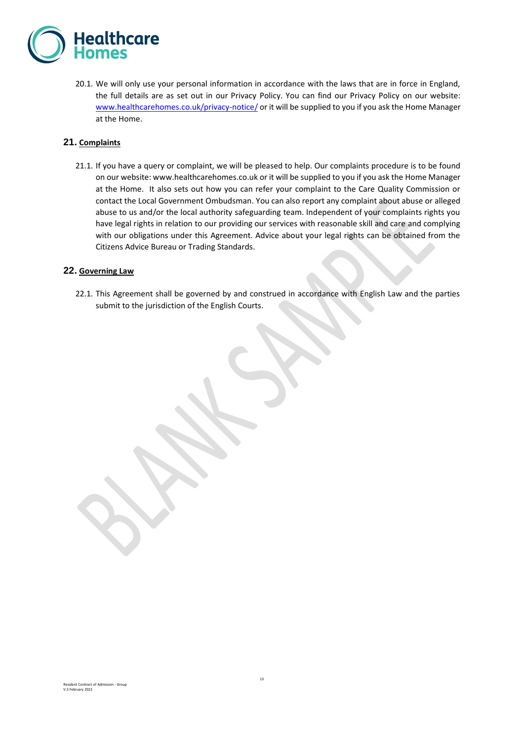

20.1. We will only use your personal information in accordance with the laws that are in force in England, the full details are as set out in our Privacy Policy. You can find our Privacy Policy on our website: [www.healthcarehomes.co.uk/privacy-notice/](http://www.healthcarehomes.co.uk/privacy-notice/) or it will be supplied to you if you ask the Home Manager at the Home.

## **21. Complaints**

21.1. If you have a query or complaint, we will be pleased to help. Our complaints procedure is to be found on our website: www.healthcarehomes.co.uk or it will be supplied to you if you ask the Home Manager at the Home. It also sets out how you can refer your complaint to the Care Quality Commission or contact the Local Government Ombudsman. You can also report any complaint about abuse or alleged abuse to us and/or the local authority safeguarding team. Independent of your complaints rights you have legal rights in relation to our providing our services with reasonable skill and care and complying with our obligations under this Agreement. Advice about your legal rights can be obtained from the Citizens Advice Bureau or Trading Standards.

#### **22. Governing Law**

22.1. This Agreement shall be governed by and construed in accordance with English Law and the parties submit to the jurisdiction of the English Courts.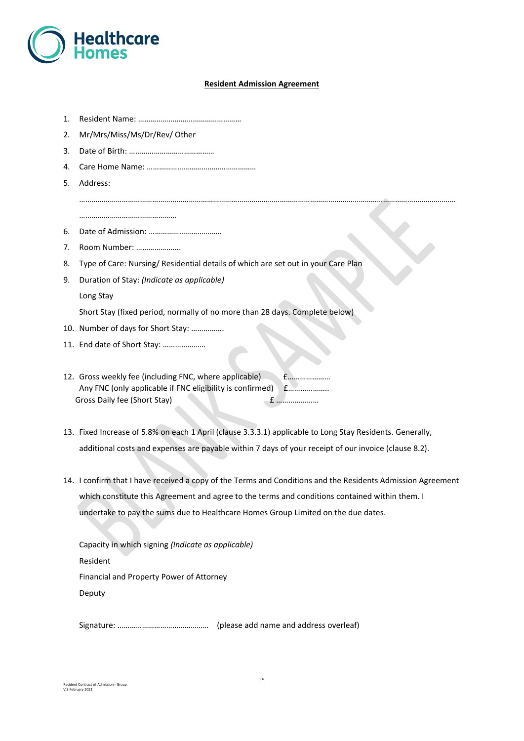

## **Resident Admission Agreement**

……………………………………………………………………………………………………………………………………………………………………

- 1. Resident Name: ……………………………………………
- 2. Mr/Mrs/Miss/Ms/Dr/Rev/ Other
- 3. Date of Birth: ……………………………………
- 4. Care Home Name: ………………………………………………
- 5. Address:

…………………………………………

- 6. Date of Admission: ………………………………
- 7. Room Number: ………………….
- 8. Type of Care: Nursing/ Residential details of which are set out in your Care Plan
- 9. Duration of Stay: *(Indicate as applicable)*

Long Stay

Short Stay (fixed period, normally of no more than 28 days. Complete below)

- 10. Number of days for Short Stay: …………….
- 11. End date of Short Stay: …………………
- 12. Gross weekly fee (including FNC, where applicable) £………………… Any FNC (only applicable if FNC eligibility is confirmed) £………………… Gross Daily fee (Short Stay) £ …………………
- 13. Fixed Increase of 5.8% on each 1 April (clause 3.3.3.1) applicable to Long Stay Residents. Generally, additional costs and expenses are payable within 7 days of your receipt of our invoice (clause 8.2).
- 14. I confirm that I have received a copy of the Terms and Conditions and the Residents Admission Agreement which constitute this Agreement and agree to the terms and conditions contained within them. I undertake to pay the sums due to Healthcare Homes Group Limited on the due dates.

Capacity in which signing *(Indicate as applicable)* Resident Financial and Property Power of Attorney Deputy

Signature: ……………………………………… (please add name and address overleaf)

Resident Contract of Admission - Group V.3 February 2021